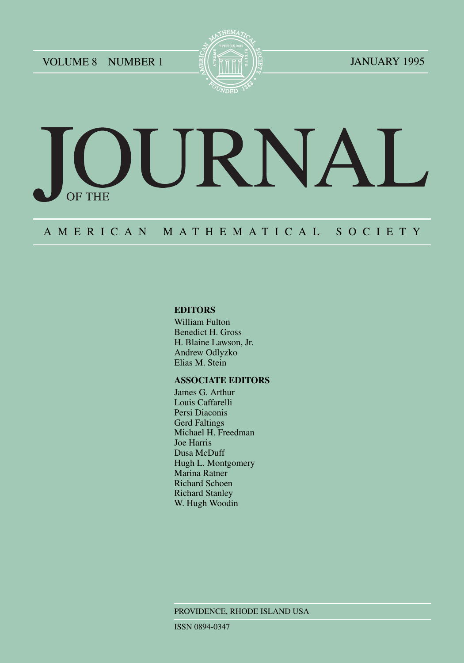VOLUME 8 NUMBER 1 E ALL THE TIME IS NOT THE JANUARY 1995



# DURNAL OF THE

## A M E R I C A N M A T H E M A T I C A L S O C I E T Y

#### **EDITORS**

William Fulton Benedict H. Gross H. Blaine Lawson, Jr. Andrew Odlyzko Elias M. Stein

#### **ASSOCIATE EDITORS**

James G. Arthur Louis Caffarelli Persi Diaconis Gerd Faltings Michael H. Freedman Joe Harris Dusa McDuff Hugh L. Montgomery Marina Ratner Richard Schoen Richard Stanley W. Hugh Woodin

PROVIDENCE, RHODE ISLAND USA

ISSN 0894-0347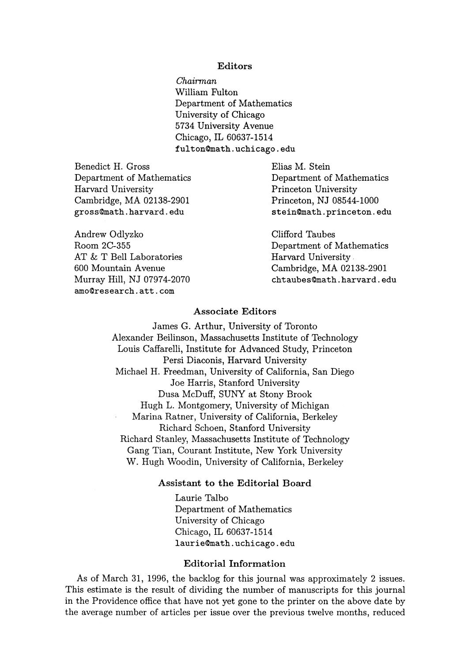#### Editors

*Chairman*  William Fulton Department of Mathematics University of Chicago 5734 University Avenue Chicago, IL 60637-1514 fulton0math.uchicago.edu

Benedict H. Gross Department of Mathematics Harvard University Cambridge, MA 02138-2901 gross@math.harvard.edu

Andrew Odlyzko Room 2C-355 AT & T Bell Laboratories 600 Mountain Avenue Murray Hill, NJ 07974-2070 amo@research.att.com

Elias M. Stein Department of Mathematics Princeton University Princeton, NJ 08544-1000 stein0math.princeton.edu

Clifford Taubes Department of Mathematics Harvard University. Cambridge, MA 02138-2901 chtaubes@math.harvard.edu

#### Associate Editors

James G. Arthur, University of Toronto Alexander Beilinson, Massachusetts Institute of Technology Louis Caffarelli, Institute for Advanced Study, Princeton Persi Diaconis, Harvard University Michael H. Freedman, University of California, San Diego Joe Harris, Stanford University Dusa McDuff, SUNY at Stony Brook Hugh L. Montgomery, University of Michigan Marina Ratner, University of California, Berkeley Richard Schoen, Stanford University Richard Stanley, Massachusetts Institute of Technology Gang Tian, Courant Institute, New York University W. Hugh Woodin, University of California, Berkeley

#### Assistant to the Editorial Board

Laurie Talbo Department of Mathematics University of Chicago Chicago, IL 60637-1514 laurie0math.uchicago.edu

#### Editorial Information

As of March 31, 1996, the backlog for this journal was approximately 2 issues. This estimate is the result of dividing the number of manuscripts for this journal in the Providence office that have not yet gone to the printer on the above date by the average number of articles per issue over the previous twelve months, reduced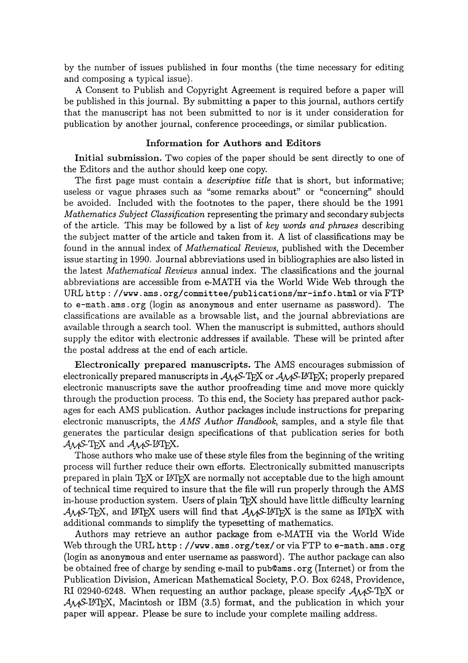by the number of issues published in four months (the time necessary for editing and composing a typical issue).

A Consent to Publish and Copyright Agreement is required before a paper will be published in this journal. By submitting a paper to this journal, authors certify that the manuscript has not been submitted to nor is it under consideration for publication by another journal, conference proceedings, or similar publication.

#### Information for Authors and Editors

Initial submission. Two copies of the paper should be sent directly to one of the Editors and the author should keep one copy.

The first page must contain a *descriptive title* that is short, but informative; useless or vague phrases such as "some remarks about" or "concerning" should be avoided. Included with the footnotes to the paper, there should be the 1991 *Mathematics Subject Classification* representing the primary and secondary subjects of the article. This may be followed by a list of *key words and phrases* describing the subject matter of the article and taken from it. A list of classifications may be found in the annual index of *Mathematical Reviews,* published with the December issue starting in 1990. Journal abbreviations used in bibliographies are also listed in the latest *Mathematical Reviews* annual index. The classifications and the journal abbreviations are accessible from e-MATH via the World Wide Web through the URL http://www.ams.org/committee/publications/mr-info.html or via FTP to e-math. ams. org (login as anonymous and enter username as password). The classifications are available as a browsable list, and the journal abbreviations are available through a search tool. When the manuscript is submitted, authors should supply the editor with electronic addresses if available. These will be printed after the postal address at the end of each article.

Electronically prepared manuscripts. The AMS encourages submission of electronically prepared manuscripts in  $A_{\mathcal{M}}$ S-T<sub>F</sub>X or  $A_{\mathcal{M}}$ S-L<sup>4</sup>T<sub>F</sub>X; properly prepared electronic manuscripts save the author proofreading time and move more quickly through the production process. To this end, the Society has prepared author packages for each AMS publication. Author packages include instructions for preparing electronic manuscripts, the *AMS Author Handbook,* samples, and a style file that generates the particular design specifications of that publication series for both AMS-TFX and *AMS-I*<sup>2</sup>TFX.

Those authors who make use of these style files from the beginning of the writing process will 'further reduce their own efforts. Electronically submitted manuscripts prepared in plain TFX or L<sup>e</sup>TFX are normally not acceptable due to the high amount of technical time required to insure that the file will run properly through the AMS in-house production system. Users of plain TEX should have little difficulty learning *AMS*-T<sub>E</sub>X, and IAT<sub>E</sub>X users will find that *AMS*-IAT<sub>E</sub>X is the same as IAT<sub>E</sub>X with additional commands to simplify the typesetting of mathematics.

Authors may retrieve an author package from e-MATH via the World Wide Web through the URL http://www . ams . org/tex/ or via FTP to e-math. ams .org (login as anonymous and enter username as password). The author package can also be obtained free of charge by sending e-mail to pub@ams. org (Internet) or from the Publication Division, American Mathematical Society, P.O. Box 6248, Providence, RI 02940-6248. When requesting an author package, please specify  $A_{\mathcal{M}}S$ -T<sub>E</sub>X or AMS-L<sup>EX</sup>T<sub>R</sub>X, Macintosh or IBM (3.5) format, and the publication in which your paper will appear. Please be sure to include your complete mailing address.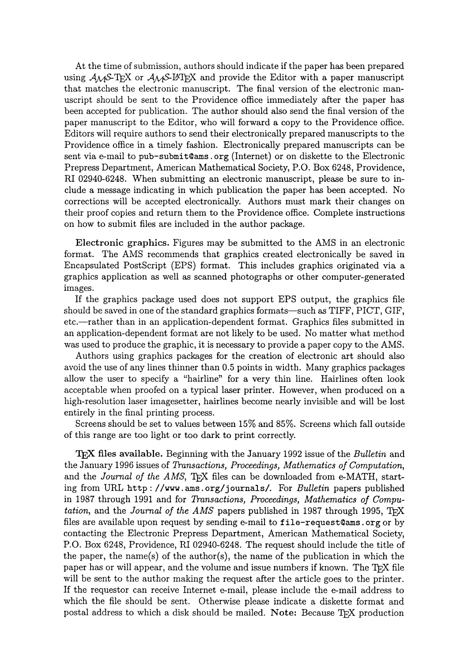At the time of submission, authors should indicate if the paper has been prepared using  $A_{\mathcal{M}}$ S-T<sub>F</sub>X or  $A_{\mathcal{M}}$ S-IAT<sub>F</sub>X and provide the Editor with a paper manuscript that matches the electronic manuscript. The final version of the electronic manuscript should be sent to the Providence office immediately after the paper has been accepted for publication. The author should also send the final version of the paper manuscript to the Editor, who will forward a copy to the Providence office. Editors will require authors to send their electronically prepared manuscripts to the Providence office in a timely fashion. Electronically prepared manuscripts can be sent via e-mail to pub-submit $\mathfrak{g}_{\text{am}}$  (Internet) or on diskette to the Electronic Prepress Department, American Mathematical Society, P.O. Box 6248, Providence, RI 02940-6248. When submitting an electronic manuscript, please be sure to include a message indicating in which publication the paper has been accepted. No corrections will be accepted electronically. Authors must mark their changes on their proof copies and return them to the Providence office. Complete instructions on how to submit files are included in the author package.

Electronic graphics. Figures may be submitted to the AMS in an electronic format. The AMS recommends that graphics created electronically be saved in Encapsulated PostScript (EPS) format. This includes graphics originated via a graphics application as well as scanned photographs or other computer-generated images.

If the graphics package used does not support EPS output, the graphics file should be saved in one of the standard graphics formats—such as TIFF, PICT, GIF, etc.-rather than in an application-dependent format. Graphics files submitted in an application-dependent format are not likely to be used. No matter what method was used to produce the graphic, it is necessary to provide a paper copy to the AMS.

Authors using graphics packages for the creation of electronic art should also avoid the use of any lines thinner than 0.5 points in width. Many graphics packages allow the user to specify a "hairline" for a very thin line. Hairlines often look acceptable when proofed on a typical laser printer. However, when produced on a high-resolution laser imagesetter, hairlines become nearly invisible and will be lost entirely in the final printing process.

Screens should be set to values between 15% and 85%. Screens which fall outside of this range are too light or too dark to print correctly.

'lEX files available. Beginning with the January 1992 issue of the *Bulletin* and the January 1996 issues of *Transactions, Proceedings, Mathematics o/Computation,*  and the *Journal of the AMS*, T<sub>F</sub>X files can be downloaded from e-MATH, starting from URL http://www . ams. org/journals/. For *Bulletin* papers published in 1987 through 1991 and for *Transactions, Proceedings, Mathematics of Computation*, and the *Journal of the AMS* papers published in 1987 through 1995, T<sub>F</sub>X files are available upon request by sending e-mail to file-request Cams. org or by contacting the Electronic Prepress Department, American Mathematical Society, P.O. Box 6248, Providence, RI 02940-6248. The request should include the title of the paper, the name(s) of the author(s), the name of the publication in which the paper has or will appear, and the volume and issue numbers if known. The  $Tr X$  file will be sent to the author making the request after the article goes to the printer. If the requestor can receive Internet e-mail, please include the e-mail address to which the file should be sent. Otherwise please indicate a diskette format and postal address to which a disk should be mailed. Note: Because T<sub>EX</sub> production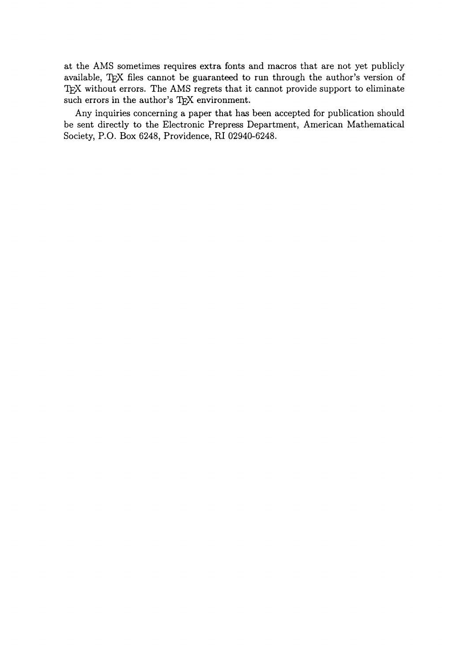at the AMS sometimes requires extra fonts and macros that are not yet publicly available, TEX files cannot be guaranteed to run through the author's version of TEX without errors. The AMS regrets that it cannot provide support to eliminate such errors in the author's TEX environment.

Any inquiries concerning a paper that has been accepted for publication should be sent directly to the Electronic Prepress Department, American Mathematical Society, P.O. Box 6248, Providence, RI 02940-6248.